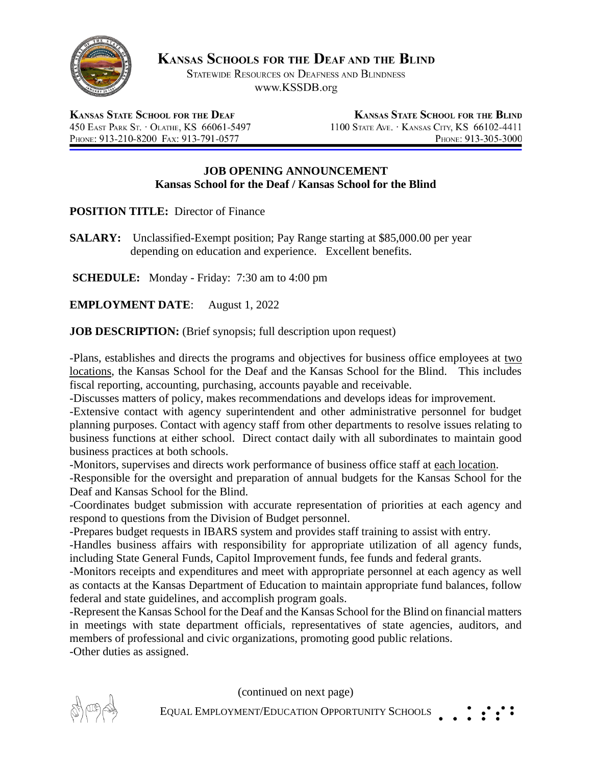

**KANSAS SCHOOLS FOR THE DEAF AND THE BLIND** 

STATEWIDE RESOURCES ON DEAFNESS AND BLINDNESS www.KSSDB.org

**KANSAS STATE SCHOOL FOR THE DEAF** 450 EAST PARK ST. . OLATHE, KS 66061-5497 PHONE: 913-210-8200 FAX: 913-791-0577

**KANSAS STATE SCHOOL FOR THE BLIND** 1100 STATE AVE. · KANSAS CITY, KS 66102-4411 PHONE: 913-305-3000

## **JOB OPENING ANNOUNCEMENT Kansas School for the Deaf / Kansas School for the Blind**

**POSITION TITLE:** Director of Finance

**SALARY:** Unclassified-Exempt position; Pay Range starting at \$85,000.00 per year depending on education and experience. Excellent benefits.

**SCHEDULE:** Monday - Friday: 7:30 am to 4:00 pm

**EMPLOYMENT DATE**: August 1, 2022

**JOB DESCRIPTION:** (Brief synopsis; full description upon request)

-Plans, establishes and directs the programs and objectives for business office employees at two locations, the Kansas School for the Deaf and the Kansas School for the Blind. This includes fiscal reporting, accounting, purchasing, accounts payable and receivable.

-Discusses matters of policy, makes recommendations and develops ideas for improvement.

-Extensive contact with agency superintendent and other administrative personnel for budget planning purposes. Contact with agency staff from other departments to resolve issues relating to business functions at either school. Direct contact daily with all subordinates to maintain good business practices at both schools.

-Monitors, supervises and directs work performance of business office staff at each location.

-Responsible for the oversight and preparation of annual budgets for the Kansas School for the Deaf and Kansas School for the Blind.

-Coordinates budget submission with accurate representation of priorities at each agency and respond to questions from the Division of Budget personnel.

-Prepares budget requests in IBARS system and provides staff training to assist with entry.

-Handles business affairs with responsibility for appropriate utilization of all agency funds, including State General Funds, Capitol Improvement funds, fee funds and federal grants.

-Monitors receipts and expenditures and meet with appropriate personnel at each agency as well as contacts at the Kansas Department of Education to maintain appropriate fund balances, follow federal and state guidelines, and accomplish program goals.

-Represent the Kansas School for the Deaf and the Kansas School for the Blind on financial matters in meetings with state department officials, representatives of state agencies, auditors, and members of professional and civic organizations, promoting good public relations.

-Other duties as assigned.

(continued on next page)



EQUAL EMPLOYMENT/EDUCATION OPPORTUNITY SCHOOLS